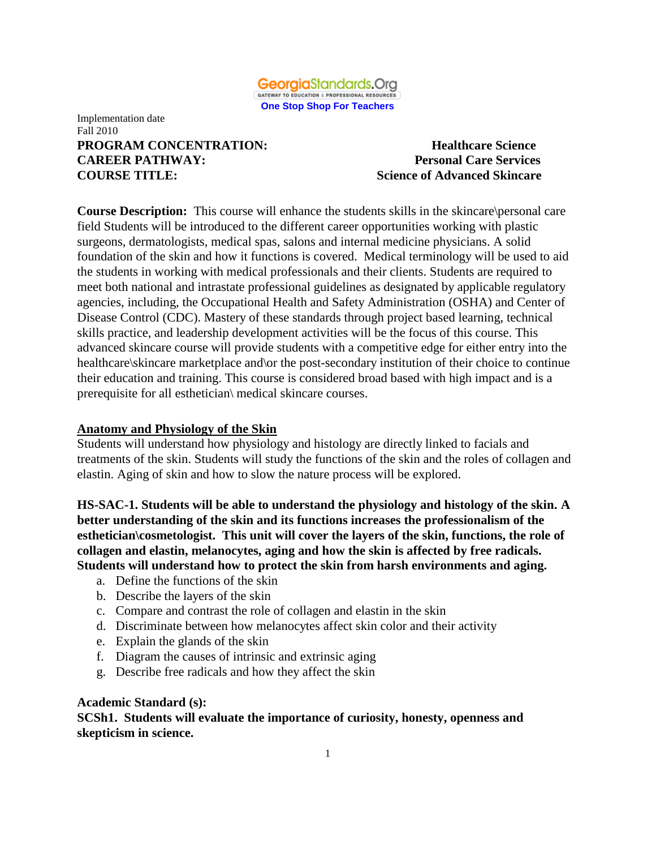

#### Implementation date Fall 2010 **PROGRAM CONCENTRATION:** Healthcare Science **CAREER PATHWAY: Personal Care Services COURSE TITLE: Science of Advanced Skincare**

**Course Description:** This course will enhance the students skills in the skincare\personal care field Students will be introduced to the different career opportunities working with plastic surgeons, dermatologists, medical spas, salons and internal medicine physicians. A solid foundation of the skin and how it functions is covered. Medical terminology will be used to aid the students in working with medical professionals and their clients. Students are required to meet both national and intrastate professional guidelines as designated by applicable regulatory agencies, including, the Occupational Health and Safety Administration (OSHA) and Center of Disease Control (CDC). Mastery of these standards through project based learning, technical skills practice, and leadership development activities will be the focus of this course. This advanced skincare course will provide students with a competitive edge for either entry into the healthcare\skincare marketplace and \or the post-secondary institution of their choice to continue their education and training. This course is considered broad based with high impact and is a prerequisite for all esthetician\ medical skincare courses.

### **Anatomy and Physiology of the Skin**

Students will understand how physiology and histology are directly linked to facials and treatments of the skin. Students will study the functions of the skin and the roles of collagen and elastin. Aging of skin and how to slow the nature process will be explored.

**HS-SAC-1. Students will be able to understand the physiology and histology of the skin. A better understanding of the skin and its functions increases the professionalism of the esthetician\cosmetologist. This unit will cover the layers of the skin, functions, the role of collagen and elastin, melanocytes, aging and how the skin is affected by free radicals. Students will understand how to protect the skin from harsh environments and aging.** 

- a. Define the functions of the skin
- b. Describe the layers of the skin
- c. Compare and contrast the role of collagen and elastin in the skin
- d. Discriminate between how melanocytes affect skin color and their activity
- e. Explain the glands of the skin
- f. Diagram the causes of intrinsic and extrinsic aging
- g. Describe free radicals and how they affect the skin

### **Academic Standard (s):**

**SCSh1. Students will evaluate the importance of curiosity, honesty, openness and skepticism in science.**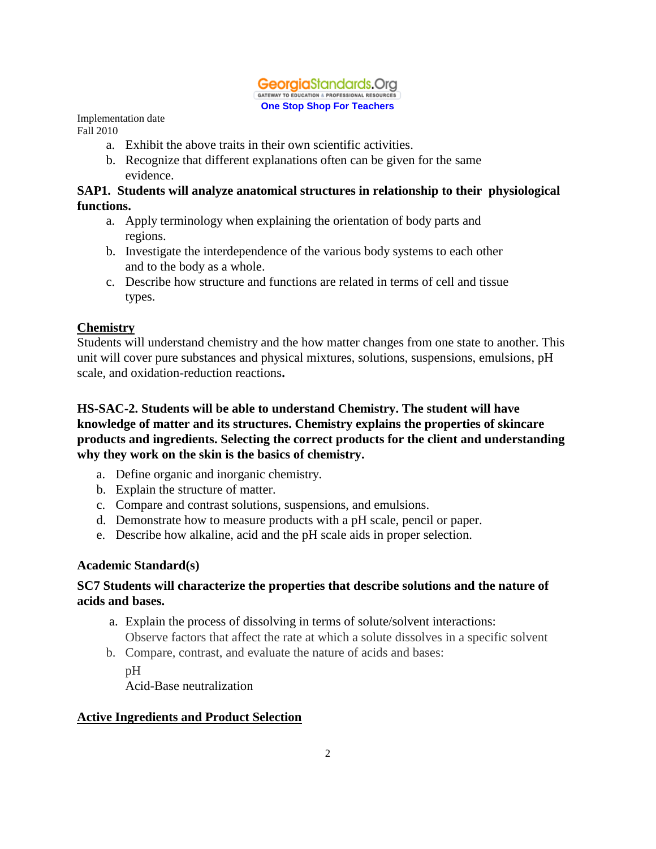#### Georgia Standards. Ora GATEWAY TO EDUCATION & PROFESSIONAL RESOURCES **One Stop Shop For Teachers**

Implementation date Fall 2010

- a. Exhibit the above traits in their own scientific activities.
- b. Recognize that different explanations often can be given for the same evidence.

### **SAP1. Students will analyze anatomical structures in relationship to their physiological functions.**

- a. Apply terminology when explaining the orientation of body parts and regions.
- b. Investigate the interdependence of the various body systems to each other and to the body as a whole.
- c. Describe how structure and functions are related in terms of cell and tissue types.

# **Chemistry**

Students will understand chemistry and the how matter changes from one state to another. This unit will cover pure substances and physical mixtures, solutions, suspensions, emulsions, pH scale, and oxidation-reduction reactions**.** 

# **HS-SAC-2. Students will be able to understand Chemistry. The student will have knowledge of matter and its structures. Chemistry explains the properties of skincare products and ingredients. Selecting the correct products for the client and understanding why they work on the skin is the basics of chemistry.**

- a. Define organic and inorganic chemistry.
- b. Explain the structure of matter.
- c. Compare and contrast solutions, suspensions, and emulsions.
- d. Demonstrate how to measure products with a pH scale, pencil or paper.
- e. Describe how alkaline, acid and the pH scale aids in proper selection.

# **Academic Standard(s)**

# **SC7 Students will characterize the properties that describe solutions and the nature of acids and bases.**

- a. Explain the process of dissolving in terms of solute/solvent interactions: Observe factors that affect the rate at which a solute dissolves in a specific solvent
- b. Compare, contrast, and evaluate the nature of acids and bases:

 $pH$ Acid-Base neutralization

# **Active Ingredients and Product Selection**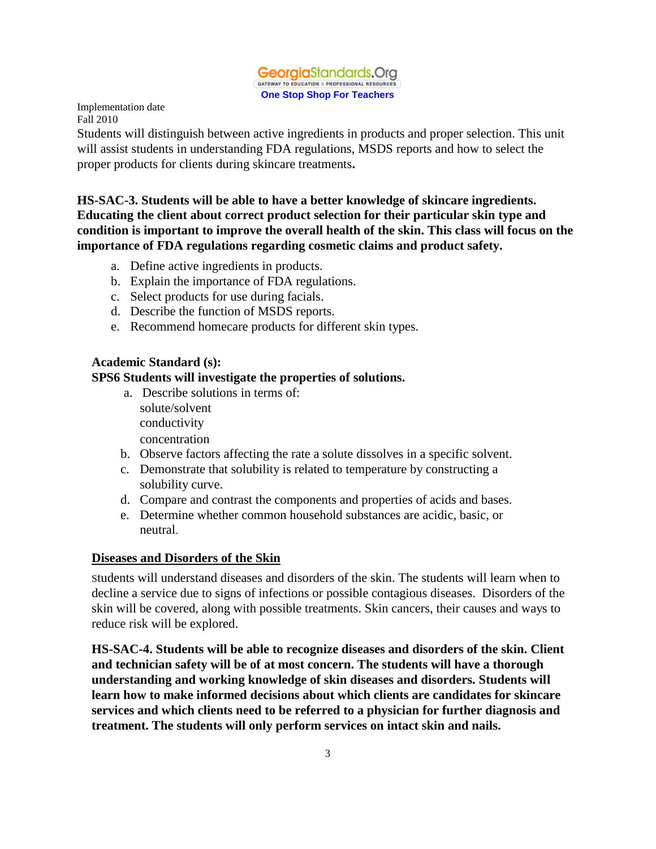GeorgiaStandards.Org GATEWAY TO EDUCATION & PROFESSIONAL RESOURCES **One Stop Shop For Teachers**

Implementation date Fall 2010

Students will distinguish between active ingredients in products and proper selection. This unit will assist students in understanding FDA regulations, MSDS reports and how to select the proper products for clients during skincare treatments**.** 

**HS-SAC-3. Students will be able to have a better knowledge of skincare ingredients. Educating the client about correct product selection for their particular skin type and condition is important to improve the overall health of the skin. This class will focus on the importance of FDA regulations regarding cosmetic claims and product safety.**

- a. Define active ingredients in products.
- b. Explain the importance of FDA regulations.
- c. Select products for use during facials.
- d. Describe the function of MSDS reports.
- e. Recommend homecare products for different skin types.

### **Academic Standard (s):**

# **SPS6 Students will investigate the properties of solutions.**

- a. Describe solutions in terms of: solute/solvent conductivity concentration
- b. Observe factors affecting the rate a solute dissolves in a specific solvent.
- c. Demonstrate that solubility is related to temperature by constructing a solubility curve.
- d. Compare and contrast the components and properties of acids and bases.
- e. Determine whether common household substances are acidic, basic, or neutral.

### **Diseases and Disorders of the Skin**

Students will understand diseases and disorders of the skin. The students will learn when to decline a service due to signs of infections or possible contagious diseases. Disorders of the skin will be covered, along with possible treatments. Skin cancers, their causes and ways to reduce risk will be explored.

**HS-SAC-4. Students will be able to recognize diseases and disorders of the skin. Client and technician safety will be of at most concern. The students will have a thorough understanding and working knowledge of skin diseases and disorders. Students will learn how to make informed decisions about which clients are candidates for skincare services and which clients need to be referred to a physician for further diagnosis and treatment. The students will only perform services on intact skin and nails.**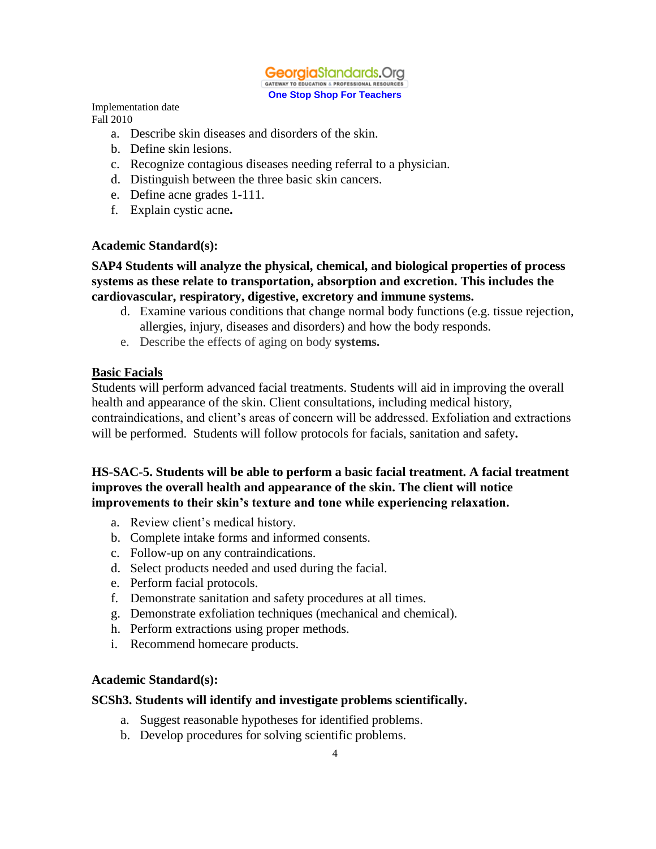#### GeorgiaStandards.Org GATEWAY TO EDUCATION & PROFESSIONAL RESOURCES **One Stop Shop For Teachers**

Implementation date Fall 2010

- a. Describe skin diseases and disorders of the skin.
- b. Define skin lesions.
- c. Recognize contagious diseases needing referral to a physician.
- d. Distinguish between the three basic skin cancers.
- e. Define acne grades 1-111.
- f. Explain cystic acne**.**

#### **Academic Standard(s):**

### **SAP4 Students will analyze the physical, chemical, and biological properties of process systems as these relate to transportation, absorption and excretion. This includes the cardiovascular, respiratory, digestive, excretory and immune systems.**

- d. Examine various conditions that change normal body functions (e.g. tissue rejection, allergies, injury, diseases and disorders) and how the body responds.
- e. Describe the effects of aging on body **systems.**

#### **Basic Facials**

Students will perform advanced facial treatments. Students will aid in improving the overall health and appearance of the skin. Client consultations, including medical history, contraindications, and client's areas of concern will be addressed. Exfoliation and extractions will be performed. Students will follow protocols for facials, sanitation and safety**.** 

### **HS-SAC-5. Students will be able to perform a basic facial treatment. A facial treatment improves the overall health and appearance of the skin. The client will notice improvements to their skin's texture and tone while experiencing relaxation.**

- a. Review client's medical history.
- b. Complete intake forms and informed consents.
- c. Follow-up on any contraindications.
- d. Select products needed and used during the facial.
- e. Perform facial protocols.
- f. Demonstrate sanitation and safety procedures at all times.
- g. Demonstrate exfoliation techniques (mechanical and chemical).
- h. Perform extractions using proper methods.
- i. Recommend homecare products.

#### **Academic Standard(s):**

#### **SCSh3. Students will identify and investigate problems scientifically.**

- a. Suggest reasonable hypotheses for identified problems.
- b. Develop procedures for solving scientific problems.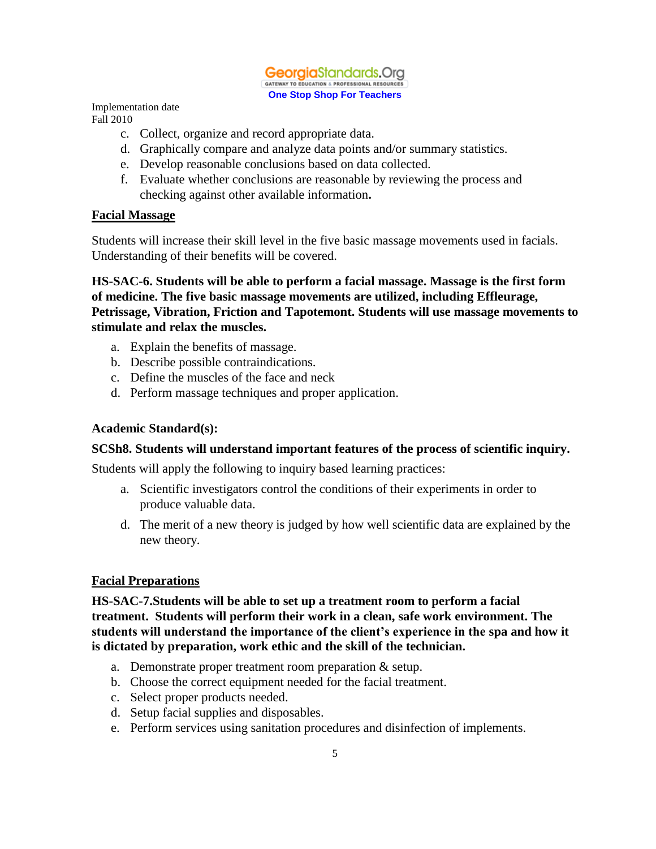

- c. Collect, organize and record appropriate data.
- d. Graphically compare and analyze data points and/or summary statistics.
- e. Develop reasonable conclusions based on data collected.
- f. Evaluate whether conclusions are reasonable by reviewing the process and checking against other available information**.**

#### **Facial Massage**

Students will increase their skill level in the five basic massage movements used in facials. Understanding of their benefits will be covered.

**HS-SAC-6. Students will be able to perform a facial massage. Massage is the first form of medicine. The five basic massage movements are utilized, including Effleurage, Petrissage, Vibration, Friction and Tapotemont. Students will use massage movements to stimulate and relax the muscles.** 

- a. Explain the benefits of massage.
- b. Describe possible contraindications.
- c. Define the muscles of the face and neck
- d. Perform massage techniques and proper application.

#### **Academic Standard(s):**

#### **SCSh8. Students will understand important features of the process of scientific inquiry.**

Students will apply the following to inquiry based learning practices:

- a. Scientific investigators control the conditions of their experiments in order to produce valuable data.
- d. The merit of a new theory is judged by how well scientific data are explained by the new theory.

### **Facial Preparations**

**HS-SAC-7.Students will be able to set up a treatment room to perform a facial treatment. Students will perform their work in a clean, safe work environment. The students will understand the importance of the client's experience in the spa and how it is dictated by preparation, work ethic and the skill of the technician.**

- a. Demonstrate proper treatment room preparation & setup.
- b. Choose the correct equipment needed for the facial treatment.
- c. Select proper products needed.
- d. Setup facial supplies and disposables.
- e. Perform services using sanitation procedures and disinfection of implements.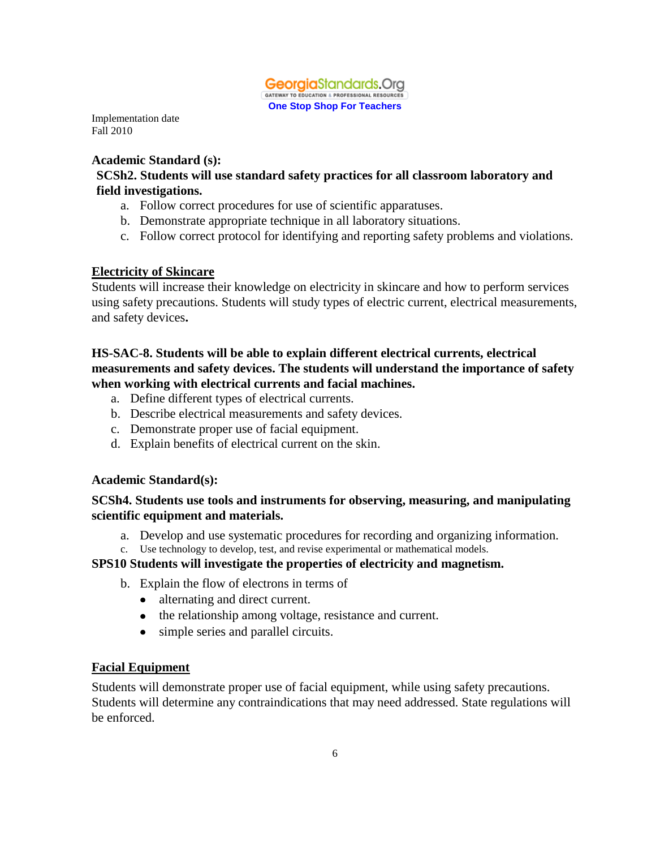

#### **Academic Standard (s): SCSh2. Students will use standard safety practices for all classroom laboratory and field investigations.**

- a. Follow correct procedures for use of scientific apparatuses.
- b. Demonstrate appropriate technique in all laboratory situations.
- c. Follow correct protocol for identifying and reporting safety problems and violations.

### **Electricity of Skincare**

Students will increase their knowledge on electricity in skincare and how to perform services using safety precautions. Students will study types of electric current, electrical measurements, and safety devices**.**

# **HS-SAC-8. Students will be able to explain different electrical currents, electrical measurements and safety devices. The students will understand the importance of safety when working with electrical currents and facial machines.**

- a. Define different types of electrical currents.
- b. Describe electrical measurements and safety devices.
- c. Demonstrate proper use of facial equipment.
- d. Explain benefits of electrical current on the skin.

### **Academic Standard(s):**

# **SCSh4. Students use tools and instruments for observing, measuring, and manipulating scientific equipment and materials.**

- a. Develop and use systematic procedures for recording and organizing information.
- c. Use technology to develop, test, and revise experimental or mathematical models.

### **SPS10 Students will investigate the properties of electricity and magnetism.**

- b. Explain the flow of electrons in terms of
	- alternating and direct current.
	- the relationship among voltage, resistance and current.
	- simple series and parallel circuits.

# **Facial Equipment**

Students will demonstrate proper use of facial equipment, while using safety precautions. Students will determine any contraindications that may need addressed. State regulations will be enforced.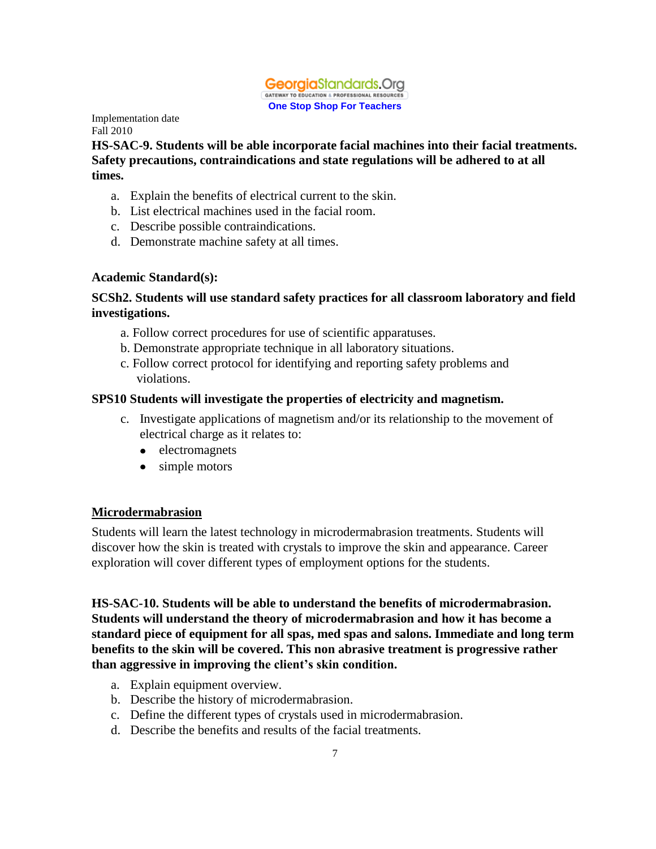

**HS-SAC-9. Students will be able incorporate facial machines into their facial treatments. Safety precautions, contraindications and state regulations will be adhered to at all times.**

- a. Explain the benefits of electrical current to the skin.
- b. List electrical machines used in the facial room.
- c. Describe possible contraindications.
- d. Demonstrate machine safety at all times.

### **Academic Standard(s):**

### **SCSh2. Students will use standard safety practices for all classroom laboratory and field investigations.**

- a. Follow correct procedures for use of scientific apparatuses.
- b. Demonstrate appropriate technique in all laboratory situations.
- c. Follow correct protocol for identifying and reporting safety problems and violations.

### **SPS10 Students will investigate the properties of electricity and magnetism.**

- c. Investigate applications of magnetism and/or its relationship to the movement of electrical charge as it relates to:
	- electromagnets
	- simple motors  $\bullet$

### **Microdermabrasion**

Students will learn the latest technology in microdermabrasion treatments. Students will discover how the skin is treated with crystals to improve the skin and appearance. Career exploration will cover different types of employment options for the students.

**HS-SAC-10. Students will be able to understand the benefits of microdermabrasion. Students will understand the theory of microdermabrasion and how it has become a standard piece of equipment for all spas, med spas and salons. Immediate and long term benefits to the skin will be covered. This non abrasive treatment is progressive rather than aggressive in improving the client's skin condition.**

- a. Explain equipment overview.
- b. Describe the history of microdermabrasion.
- c. Define the different types of crystals used in microdermabrasion.
- d. Describe the benefits and results of the facial treatments.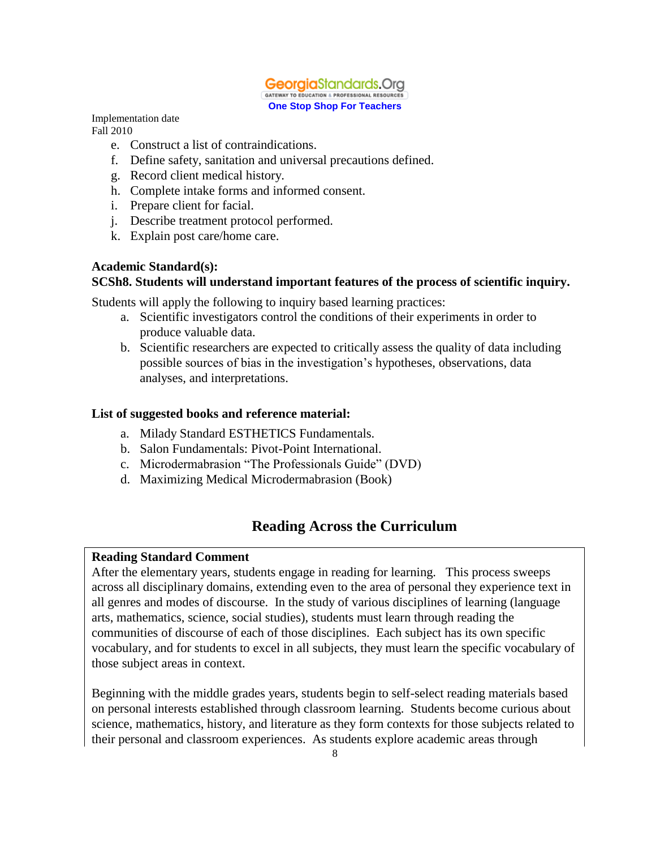

- e. Construct a list of contraindications.
- f. Define safety, sanitation and universal precautions defined.
- g. Record client medical history.
- h. Complete intake forms and informed consent.
- i. Prepare client for facial.
- j. Describe treatment protocol performed.
- k. Explain post care/home care.

#### **Academic Standard(s):**

#### **SCSh8. Students will understand important features of the process of scientific inquiry.**

Students will apply the following to inquiry based learning practices:

- a. Scientific investigators control the conditions of their experiments in order to produce valuable data.
- b. Scientific researchers are expected to critically assess the quality of data including possible sources of bias in the investigation's hypotheses, observations, data analyses, and interpretations.

#### **List of suggested books and reference material:**

- a. Milady Standard ESTHETICS Fundamentals.
- b. Salon Fundamentals: Pivot-Point International.
- c. Microdermabrasion "The Professionals Guide" (DVD)
- d. Maximizing Medical Microdermabrasion (Book)

# **Reading Across the Curriculum**

#### **Reading Standard Comment**

After the elementary years, students engage in reading for learning. This process sweeps across all disciplinary domains, extending even to the area of personal they experience text in all genres and modes of discourse. In the study of various disciplines of learning (language arts, mathematics, science, social studies), students must learn through reading the communities of discourse of each of those disciplines. Each subject has its own specific vocabulary, and for students to excel in all subjects, they must learn the specific vocabulary of those subject areas in context.

Beginning with the middle grades years, students begin to self-select reading materials based on personal interests established through classroom learning. Students become curious about science, mathematics, history, and literature as they form contexts for those subjects related to their personal and classroom experiences. As students explore academic areas through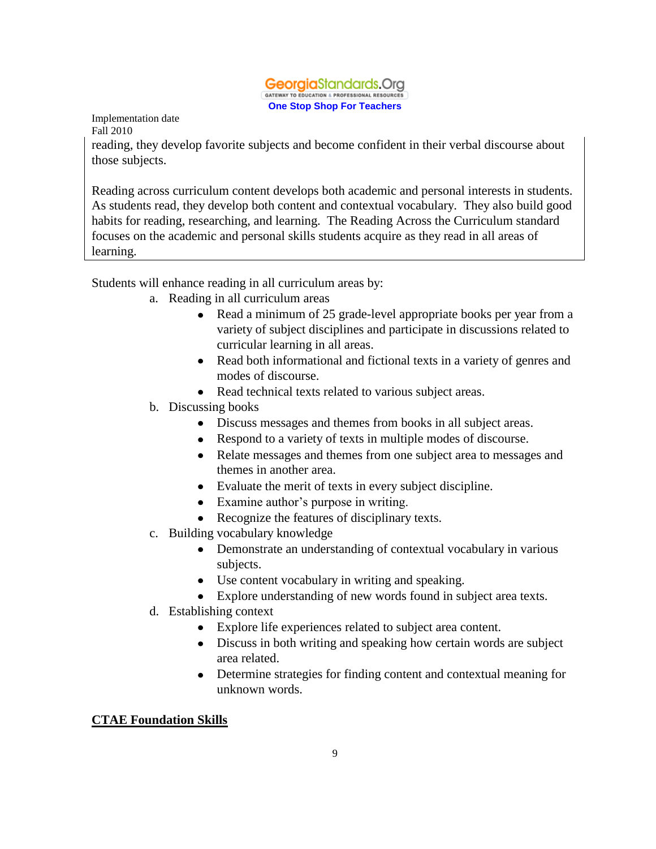

reading, they develop favorite subjects and become confident in their verbal discourse about those subjects.

Reading across curriculum content develops both academic and personal interests in students. As students read, they develop both content and contextual vocabulary. They also build good habits for reading, researching, and learning. The Reading Across the Curriculum standard focuses on the academic and personal skills students acquire as they read in all areas of learning.

Students will enhance reading in all curriculum areas by:

- a. Reading in all curriculum areas
	- $\bullet$ Read a minimum of 25 grade-level appropriate books per year from a variety of subject disciplines and participate in discussions related to curricular learning in all areas.
	- Read both informational and fictional texts in a variety of genres and modes of discourse.
	- Read technical texts related to various subject areas.
- b. Discussing books
	- Discuss messages and themes from books in all subject areas.
	- Respond to a variety of texts in multiple modes of discourse.
	- Relate messages and themes from one subject area to messages and themes in another area.
	- Evaluate the merit of texts in every subject discipline.
	- Examine author's purpose in writing.
	- Recognize the features of disciplinary texts.
- c. Building vocabulary knowledge
	- Demonstrate an understanding of contextual vocabulary in various subjects.
	- Use content vocabulary in writing and speaking.
	- Explore understanding of new words found in subject area texts.
- d. Establishing context
	- Explore life experiences related to subject area content.
	- Discuss in both writing and speaking how certain words are subject area related.
	- Determine strategies for finding content and contextual meaning for unknown words.

# **CTAE Foundation Skills**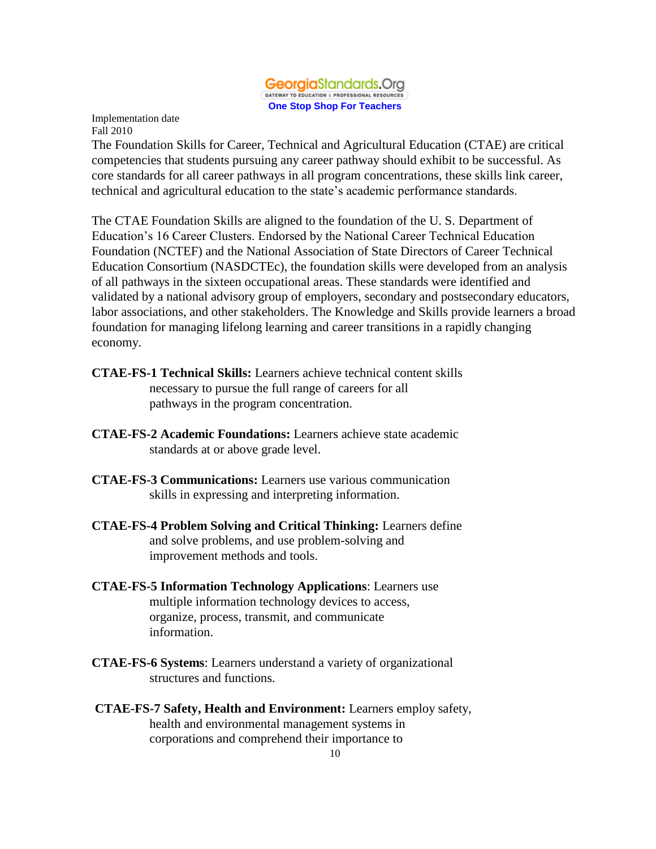#### GeorgiaStandards.Org GATEWAY TO EDUCATION & PROFESSIONAL RESOURCES **One Stop Shop For Teachers**

Implementation date Fall 2010

The Foundation Skills for Career, Technical and Agricultural Education (CTAE) are critical competencies that students pursuing any career pathway should exhibit to be successful. As core standards for all career pathways in all program concentrations, these skills link career, technical and agricultural education to the state's academic performance standards.

The CTAE Foundation Skills are aligned to the foundation of the U. S. Department of Education's 16 Career Clusters. Endorsed by the National Career Technical Education Foundation (NCTEF) and the National Association of State Directors of Career Technical Education Consortium (NASDCTEc), the foundation skills were developed from an analysis of all pathways in the sixteen occupational areas. These standards were identified and validated by a national advisory group of employers, secondary and postsecondary educators, labor associations, and other stakeholders. The Knowledge and Skills provide learners a broad foundation for managing lifelong learning and career transitions in a rapidly changing economy.

- **CTAE-FS-1 Technical Skills:** Learners achieve technical content skills necessary to pursue the full range of careers for all pathways in the program concentration.
- **CTAE-FS-2 Academic Foundations:** Learners achieve state academic standards at or above grade level.
- **CTAE-FS-3 Communications:** Learners use various communication skills in expressing and interpreting information.
- **CTAE-FS-4 Problem Solving and Critical Thinking:** Learners define and solve problems, and use problem-solving and improvement methods and tools.
- **CTAE-FS-5 Information Technology Applications**: Learners use multiple information technology devices to access, organize, process, transmit, and communicate information.
- **CTAE-FS-6 Systems**: Learners understand a variety of organizational structures and functions.
- **CTAE-FS-7 Safety, Health and Environment:** Learners employ safety, health and environmental management systems in corporations and comprehend their importance to